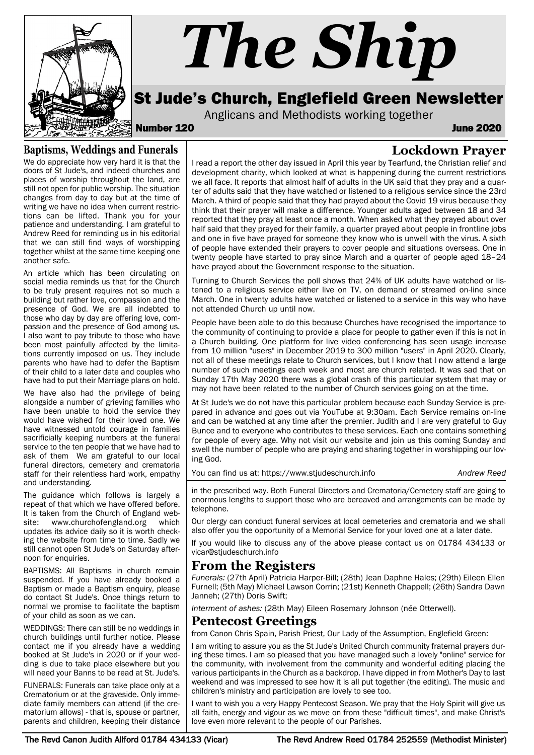

### **Baptisms, Weddings and Funerals**

We do appreciate how very hard it is that the doors of St Jude's, and indeed churches and places of worship throughout the land, are still not open for public worship. The situation changes from day to day but at the time of writing we have no idea when current restrictions can be lifted. Thank you for your patience and understanding. I am grateful to Andrew Reed for reminding us in his editorial that we can still find ways of worshipping together whilst at the same time keeping one another safe.

An article which has been circulating on social media reminds us that for the Church to be truly present requires not so much a building but rather love, compassion and the presence of God. We are all indebted to those who day by day are offering love, compassion and the presence of God among us. I also want to pay tribute to those who have been most painfully affected by the limitations currently imposed on us. They include parents who have had to defer the Baptism of their child to a later date and couples who have had to put their Marriage plans on hold.

We have also had the privilege of being alongside a number of grieving families who have been unable to hold the service they would have wished for their loved one. We have witnessed untold courage in families sacrificially keeping numbers at the funeral service to the ten people that we have had to ask of them We am grateful to our local funeral directors, cemetery and crematoria staff for their relentless hard work, empathy and understanding.

The guidance which follows is largely a repeat of that which we have offered before. It is taken from the Church of England website: www.churchofengland.org which updates its advice daily so it is worth checking the website from time to time. Sadly we still cannot open St Jude's on Saturday afternoon for enquiries.

BAPTISMS: All Baptisms in church remain suspended. If you have already booked a Baptism or made a Baptism enquiry, please do contact St Jude's. Once things return to normal we promise to facilitate the baptism of your child as soon as we can.

WEDDINGS: There can still be no weddings in church buildings until further notice. Please contact me if you already have a wedding booked at St Jude's in 2020 or if your wedding is due to take place elsewhere but you will need your Banns to be read at St. Jude's.

FUNERALS: Funerals can take place only at a Crematorium or at the graveside. Only immediate family members can attend (if the crematorium allows) - that is, spouse or partner, parents and children, keeping their distance

I read a report the other day issued in April this year by Tearfund, the Christian relief and development charity, which looked at what is happening during the current restrictions we all face. It reports that almost half of adults in the UK said that they pray and a quarter of adults said that they have watched or listened to a religious service since the 23rd March. A third of people said that they had prayed about the Covid 19 virus because they think that their prayer will make a difference. Younger adults aged between 18 and 34 reported that they pray at least once a month. When asked what they prayed about over half said that they prayed for their family, a quarter prayed about people in frontline jobs and one in five have prayed for someone they know who is unwell with the virus. A sixth of people have extended their prayers to cover people and situations overseas. One in twenty people have started to pray since March and a quarter of people aged 18–24 have prayed about the Government response to the situation.

Turning to Church Services the poll shows that 24% of UK adults have watched or listened to a religious service either live on TV, on demand or streamed on-line since March. One in twenty adults have watched or listened to a service in this way who have not attended Church up until now.

People have been able to do this because Churches have recognised the importance to the community of continuing to provide a place for people to gather even if this is not in a Church building. One platform for live video conferencing has seen usage increase from 10 million "users" in December 2019 to 300 million "users" in April 2020. Clearly, not all of these meetings relate to Church services, but I know that I now attend a large number of such meetings each week and most are church related. It was sad that on Sunday 17th May 2020 there was a global crash of this particular system that may or may not have been related to the number of Church services going on at the time.

At St Jude's we do not have this particular problem because each Sunday Service is prepared in advance and goes out via YouTube at 9:30am. Each Service remains on-line and can be watched at any time after the premier. Judith and I are very grateful to Guy Bunce and to everyone who contributes to these services. Each one contains something for people of every age. Why not visit our website and join us this coming Sunday and swell the number of people who are praying and sharing together in worshipping our loving God.

You can find us at: https://www.stjudeschurch.info *Andrew Reed*

in the prescribed way. Both Funeral Directors and Crematoria/Cemetery staff are going to enormous lengths to support those who are bereaved and arrangements can be made by telephone.

Our clergy can conduct funeral services at local cemeteries and crematoria and we shall also offer you the opportunity of a Memorial Service for your loved one at a later date.

If you would like to discuss any of the above please contact us on 01784 434133 or vicar@stjudeschurch.info

#### **From the Registers**

*Funerals:* (27th April) Patricia Harper-Bill; (28th) Jean Daphne Hales; (29th) Eileen Ellen Furnell; (5th May) Michael Lawson Corrin; (21st) Kenneth Chappell; (26th) Sandra Dawn Janneh; (27th) Doris Swift;

*Interment of ashes:* (28th May) Eileen Rosemary Johnson (née Otterwell).

#### **Pentecost Greetings**

from Canon Chris Spain, Parish Priest, Our Lady of the Assumption, Englefield Green:

I am writing to assure you as the St Jude's United Church community fraternal prayers during these times. I am so pleased that you have managed such a lovely "online" service for the community, with involvement from the community and wonderful editing placing the various participants in the Church as a backdrop. I have dipped in from Mother's Day to last weekend and was impressed to see how it is all put together (the editing). The music and children's ministry and participation are lovely to see too.

I want to wish you a very Happy Pentecost Season. We pray that the Holy Spirit will give us all faith, energy and vigour as we move on from these "difficult times", and make Christ's love even more relevant to the people of our Parishes.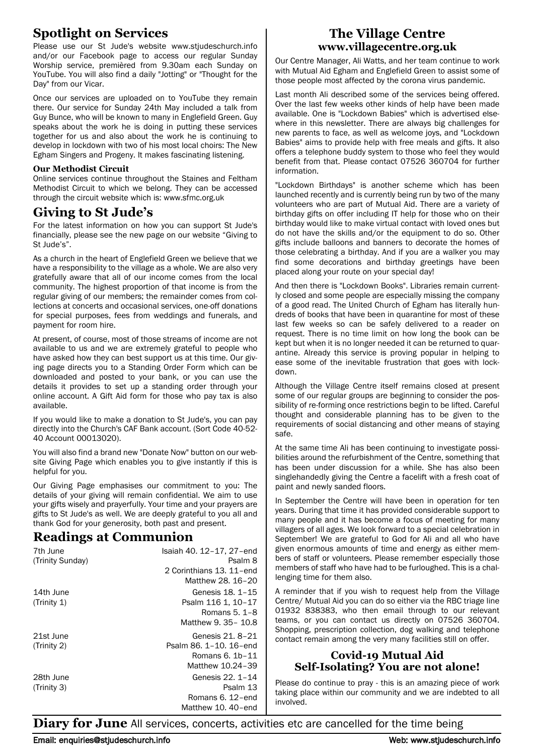## **Spotlight on Services**

Please use our St Jude's website www.stjudeschurch.info and/or our Facebook page to access our regular Sunday Worship service, premièred from 9.30am each Sunday on YouTube. You will also find a daily "Jotting" or "Thought for the Day" from our Vicar.

Once our services are uploaded on to YouTube they remain there. Our service for Sunday 24th May included a talk from Guy Bunce, who will be known to many in Englefield Green. Guy speaks about the work he is doing in putting these services together for us and also about the work he is continuing to develop in lockdown with two of his most local choirs: The New Egham Singers and Progeny. It makes fascinating listening.

#### **Our Methodist Circuit**

Online services continue throughout the Staines and Feltham Methodist Circuit to which we belong. They can be accessed through the circuit website which is: www.sfmc.org.uk

## **Giving to St Jude's**

For the latest information on how you can support St Jude's financially, please see the new page on our website "Giving to St Jude's".

As a church in the heart of Englefield Green we believe that we have a responsibility to the village as a whole. We are also very gratefully aware that all of our income comes from the local community. The highest proportion of that income is from the regular giving of our members; the remainder comes from collections at concerts and occasional services, one-off donations for special purposes, fees from weddings and funerals, and payment for room hire.

At present, of course, most of those streams of income are not available to us and we are extremely grateful to people who have asked how they can best support us at this time. Our giving page directs you to a Standing Order Form which can be downloaded and posted to your bank, or you can use the details it provides to set up a standing order through your online account. A Gift Aid form for those who pay tax is also available.

If you would like to make a donation to St Jude's, you can pay directly into the Church's CAF Bank account. (Sort Code 40-52- 40 Account 00013020).

You will also find a brand new "Donate Now" button on our website Giving Page which enables you to give instantly if this is helpful for you.

Our Giving Page emphasises our commitment to you: The details of your giving will remain confidential. We aim to use your gifts wisely and prayerfully. Your time and your prayers are gifts to St Jude's as well. We are deeply grateful to you all and thank God for your generosity, both past and present.

#### **Readings at Communion**

| 7th June         | Isaiah 40. 12-17, 27-end |
|------------------|--------------------------|
| (Trinity Sunday) | Psalm 8                  |
|                  | 2 Corinthians 13. 11-end |
|                  | Matthew 28, 16-20        |
| 14th June        | Genesis 18, 1-15         |
| (Trinty 1)       | Psalm 116 1, 10-17       |
|                  | Romans 5, 1-8            |
|                  | Matthew 9, 35-10.8       |
| 21st June        | Genesis 21, 8-21         |
| (Trinty 2)       | Psalm 86, 1-10, 16-end   |
|                  | Romans 6. 1b-11          |
|                  | Matthew 10.24-39         |
| 28th June        | Genesis 22, 1-14         |
| (Trinty 3)       | Psalm 13                 |
|                  | Romans 6. 12-end         |
|                  | Matthew 10, 40-end       |

#### **The Village Centre www.villagecentre.org.uk**

Our Centre Manager, Ali Watts, and her team continue to work with Mutual Aid Egham and Englefield Green to assist some of those people most affected by the corona virus pandemic.

Last month Ali described some of the services being offered. Over the last few weeks other kinds of help have been made available. One is "Lockdown Babies" which is advertised elsewhere in this newsletter. There are always big challenges for new parents to face, as well as welcome joys, and "Lockdown Babies" aims to provide help with free meals and gifts. It also offers a telephone buddy system to those who feel they would benefit from that. Please contact 07526 360704 for further information.

"Lockdown Birthdays" is another scheme which has been launched recently and is currently being run by two of the many volunteers who are part of Mutual Aid. There are a variety of birthday gifts on offer including IT help for those who on their birthday would like to make virtual contact with loved ones but do not have the skills and/or the equipment to do so. Other gifts include balloons and banners to decorate the homes of those celebrating a birthday. And if you are a walker you may find some decorations and birthday greetings have been placed along your route on your special day!

And then there is "Lockdown Books". Libraries remain currently closed and some people are especially missing the company of a good read. The United Church of Egham has literally hundreds of books that have been in quarantine for most of these last few weeks so can be safely delivered to a reader on request. There is no time limit on how long the book can be kept but when it is no longer needed it can be returned to quarantine. Already this service is proving popular in helping to ease some of the inevitable frustration that goes with lockdown.

Although the Village Centre itself remains closed at present some of our regular groups are beginning to consider the possibility of re-forming once restrictions begin to be lifted. Careful thought and considerable planning has to be given to the requirements of social distancing and other means of staying safe.

At the same time Ali has been continuing to investigate possibilities around the refurbishment of the Centre, something that has been under discussion for a while. She has also been singlehandedly giving the Centre a facelift with a fresh coat of paint and newly sanded floors.

In September the Centre will have been in operation for ten years. During that time it has provided considerable support to many people and it has become a focus of meeting for many villagers of all ages. We look forward to a special celebration in September! We are grateful to God for Ali and all who have given enormous amounts of time and energy as either members of staff or volunteers. Please remember especially those members of staff who have had to be furloughed. This is a challenging time for them also.

A reminder that if you wish to request help from the Village Centre/ Mutual Aid you can do so either via the RBC triage line 01932 838383, who then email through to our relevant teams, or you can contact us directly on 07526 360704. Shopping, prescription collection, dog walking and telephone contact remain among the very many facilities still on offer.

#### **Covid-19 Mutual Aid Self-Isolating? You are not alone!**

Please do continue to pray - this is an amazing piece of work taking place within our community and we are indebted to all involved.

**Diary for June** All services, concerts, activities etc are cancelled for the time being